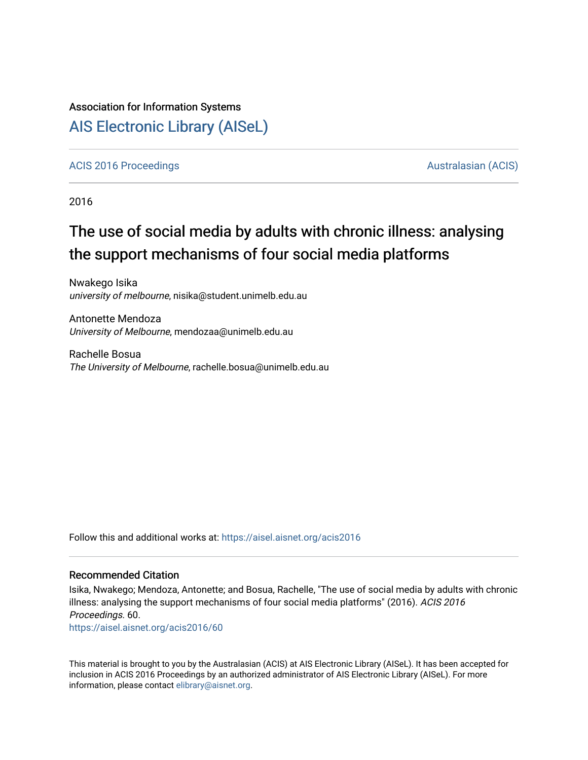### Association for Information Systems

## [AIS Electronic Library \(AISeL\)](https://aisel.aisnet.org/)

#### [ACIS 2016 Proceedings](https://aisel.aisnet.org/acis2016) **AUSTRALIA CIS** Australasian (ACIS)

2016

# The use of social media by adults with chronic illness: analysing the support mechanisms of four social media platforms

Nwakego Isika university of melbourne, nisika@student.unimelb.edu.au

Antonette Mendoza University of Melbourne, mendozaa@unimelb.edu.au

Rachelle Bosua The University of Melbourne, rachelle.bosua@unimelb.edu.au

Follow this and additional works at: [https://aisel.aisnet.org/acis2016](https://aisel.aisnet.org/acis2016?utm_source=aisel.aisnet.org%2Facis2016%2F60&utm_medium=PDF&utm_campaign=PDFCoverPages) 

#### Recommended Citation

Isika, Nwakego; Mendoza, Antonette; and Bosua, Rachelle, "The use of social media by adults with chronic illness: analysing the support mechanisms of four social media platforms" (2016). ACIS 2016 Proceedings. 60.

[https://aisel.aisnet.org/acis2016/60](https://aisel.aisnet.org/acis2016/60?utm_source=aisel.aisnet.org%2Facis2016%2F60&utm_medium=PDF&utm_campaign=PDFCoverPages)

This material is brought to you by the Australasian (ACIS) at AIS Electronic Library (AISeL). It has been accepted for inclusion in ACIS 2016 Proceedings by an authorized administrator of AIS Electronic Library (AISeL). For more information, please contact [elibrary@aisnet.org.](mailto:elibrary@aisnet.org%3E)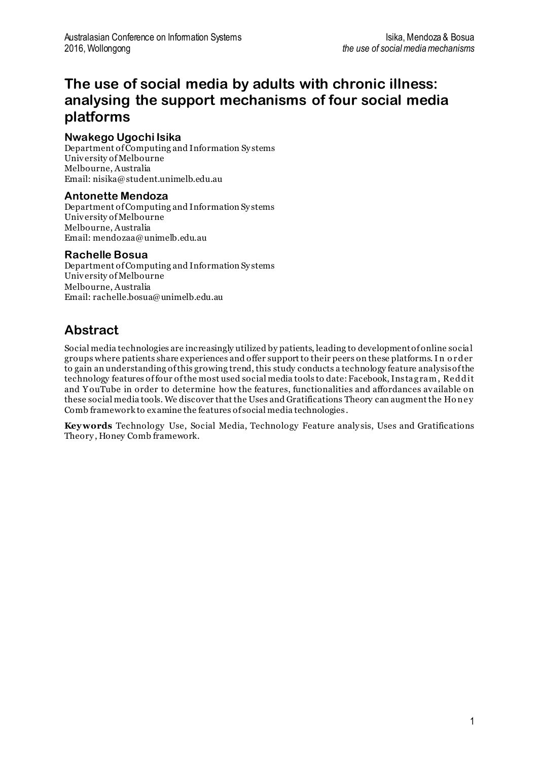## **The use of social media by adults with chronic illness: analysing the support mechanisms of four social media platforms**

#### **Nwakego Ugochi Isika**

Department of Computing and Information Sy stems University of Melbourne Melbourne, Australia Email: nisika@student.unimelb.edu.au

#### **Antonette Mendoza**

Department of Computing and Information Sy stems University of Melbourne Melbourne, Australia Email: mendozaa@unimelb.edu.au

#### **Rachelle Bosua**

Department of Computing and Information Sy stems University of Melbourne Melbourne, Australia Email: rachelle.bosua@unimelb.edu.au

### **Abstract**

Social media technologies are increasingly utilized by patients, leading to development of online social groups where patients share experiences and offer support to their peers on these platforms. I n o r der to gain an understanding of this growing trend, this study conducts a technology feature analysis of the technology features of four of the most used social media tools to date: Facebook, Instagram, Re ddit and Y ouTube in order to determine how the features, functionalities and affordances available on these social media tools. We discover that the Uses and Gratifications Theory can augment the Honey Comb framework to examine the features of social media technologies .

**Keywords** Technology Use, Social Media, Technology Feature analy sis, Uses and Gratifications Theory , Honey Comb framework.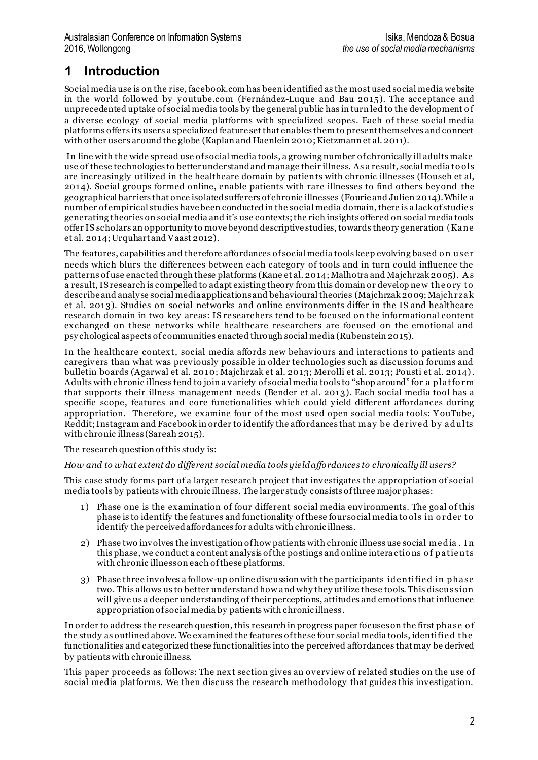## **1 Introduction**

Social media use is on the rise, facebook.com has been identified as the most used social media website in the world followed by y outube.com (Fernández-Luque and Bau 2015). The acceptance and unprecedented uptake of social media tools by the general public has in turn led to the development o f a diverse ecology of social media platforms with specialized scopes. Each of these social media platforms offers its users a specialized feature set that enables them to present themselves and connect with other users around the globe (Kaplan and Haenlein 2010; Kietzmann et al. 2011).

In line with the wide spread use of social media tools, a growing number of chronically ill adults make use of these technologies to better understand and manage their illness. As a result, social media to ols are increasingly utilized in the healthcare domain by patients with chronic illnesses (Househ et al, 2014). Social groups formed online, enable patients with rare illnesses to find others bey ond the geographical barriers that once isolated sufferers of chronic illnesses (Fourie and Julien 2014). While a number of empirical studies have been conducted in the social media domain, there is a lack of studie s generating theories on social media and it's use contexts; the rich insights offered on social media tools offer IS scholars an opportunity to move beyond descriptive studies, towards theory generation (Kane et al. 2014; Urquhart and Vaast 2012).

The features, capabilities and therefore affordances of social media tools keep evolving based on user needs which blurs the differences between each category of tools and in turn could influence the patterns of use enacted through these platforms (Kane et al. 2014; Malhotra and Majchrzak 2005). A s a result, IS research is compelled to adapt existing theory from this domain or develop ne w the o ry to describe and analy se social media applications and behavioural theories (Majchrzak 2009; Majchr zak et al. 2013). Studies on social networks and online environments differ in the IS and healthcare research domain in two key areas: IS researchers tend to be focused on the informational content exchanged on these networks while healthcare researchers are focused on the emotional and psy chological aspects of communities enacted through social media (Rubenstein 2015).

In the healthcare context, social media affords new behaviours and interactions to patients and caregivers than what was previously possible in older technologies such as discussion forums and bulletin boards (Agarwal et al. 2010; Majchrzak et al. 2013; Merolli et al. 2013; Pousti et al. 2014). Adults with chronic illness tend to join a variety of social media tools to "shop around" for a platfo r m that supports their illness management needs (Bender et al. 2013). Each social media tool has a specific scope, features and core functionalities which could y ield different affordances during appropriation. Therefore, we examine four of the most used open social media tools: Y ouTube, Reddit; Instagram and Facebook in order to identify the affordances that may be derived by adults with chronic illness (Sareah 2015).

The research question of this study is:

#### *How and to what extent do different social media tools yield affordances to chronically ill users?*

This case study forms part of a larger research project that investigates the appropriation of social media tools by patients with chronic illness. The larger study consists of three major phases:

- 1) Phase one is the examination of four different social media environments. The goal of this phase is to identify the features and functionality of these four social media to ols in o r der to identify the perceived affordances for adults with chronic illness.
- 2) Phase two involves the investigation of how patients with chronic illness use social me dia . I n this phase, we conduct a content analysis of the postings and online interactions of patients with chronic illness on each of these platforms.
- 3) Phase three involves a follow-up online discussion with the participants ide ntifie d in phase two. This allows us to better understand how and why they utilize these tools. This discussion will give us a deeper understanding of their perceptions, attitudes and emotions that influence appropriation of social media by patients with chronic illness .

In order to address the research question, this research in progress paper focuses on the first phase o f the study as outlined above. We examined the features of these four social media tools, identifie d the functionalities and categorized these functionalities into the perceived affordances that may be derived by patients with chronic illness.

This paper proceeds as follows: The next section gives an overview of related studies on the use of social media platforms. We then discuss the research methodology that guides this investigation.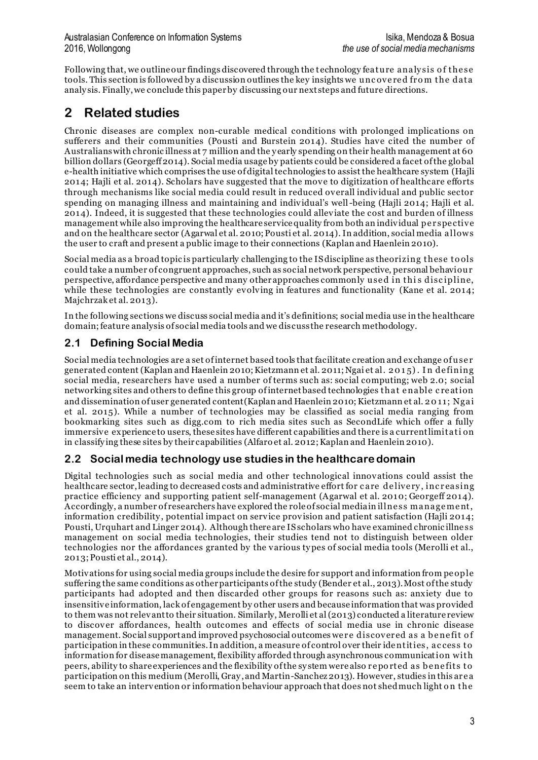Following that, we outline our findings discovered through the technology feature analysis of the se tools. This section is followed by a discussion outlines the key insights we uncovered from the data analy sis. Finally, we conclude this paper by discussing our next steps and future directions.

## **2 Related studies**

Chronic diseases are complex non-curable medical conditions with prolonged implications on sufferers and their communities (Pousti and Burstein 2014). Studies have cited the number of Australians with chronic illness at 7 million and the y early spending on their health management at 60 billion dollars (Georgeff 2014). Social media usage by patients could be considered a facet of the global e-health initiative which comprises the use of digital technologies to assist the healthcare system (Hajli 2014; Hajli et al. 2014). Scholars have suggested that the move to digitization of healthcare efforts through mechanisms like social media could result in reduced overall individual and public sector spending on managing illness and maintaining and individual's well-being (Hajli 2014; Hajli et al. 2014). Indeed, it is suggested that these technologies could alleviate the cost and burden of illness management while also improving the healthcare service quality from both an individual pe r spe ctive and on the healthcare sector (Agarwal et al. 2010; Pousti et al. 2014).In addition, social media allows the user to craft and present a public image to their connections (Kaplan and Haenlein 2010).

Social media as a broad topic is particularly challenging to the IS discipline as theorizing these to ols could take a number of congruent approaches, such as social network perspective, personal behaviour perspective, affordance perspective and many other approaches commonly used in this discipline, while these technologies are constantly evolving in features and functionality (Kane et al. 2014; Majchrzak et al. 2013).

In the following sections we discuss social media and it's definitions; social media use in the healthcare domain; feature analysis of social media tools and we discuss the research methodology.

### **2.1 Defining Social Media**

Social media technologies are a set of internet based tools that facilitate creation and exchange of use r generated content (Kaplan and Haenlein 2010; Kietzmann et al. 2011; Ngai et al. 2 0 1 5). I n de fining social media, researchers have used a number of terms such as: social computing; web 2.0; social networking sites and others to define this group of internet based technologies that e nable c re ation and dissemination of user generated content(Kaplan and Haenlein 2010; Kietzmann et al. 2 0 11; Ngai et al. 2015). While a number of technologies may be classified as social media ranging from bookmarking sites such as digg.com to rich media sites such as SecondLife which offer a fully immersive experience to users, these sites have different capabilities and there is a current limitati on in classify ing these sites by their capabilities (Alfaro et al. 2012; Kaplan and Haenlein 2010).

### **2.2 Social media technology use studies in the healthcare domain**

Digital technologies such as social media and other technological innovations could assist the healthcare sector, leading to decreased costs and administrative effort for care delivery, increasing practice efficiency and supporting patient self-management (Agarwal et al. 2010; Georgeff 2014). Accordingly, a number of researchers have explored the role of social media in illness management, information credibility, potential impact on service provision and patient satisfaction (Hajli 2014; Pousti, Urquhart and Linger 2014). Although there are IS scholars who have examined chronic illness management on social media technologies, their studies tend not to distinguish between older technologies nor the affordances granted by the various ty pes of social media tools (Merolli et al., 2013; Pousti et al., 2014).

Motivations for using social media groups include the desire for support and information from pe ople suffering the same conditions as other participants of the study (Bender et al., 2013). Most of the study participants had adopted and then discarded other groups for reasons such as: anxiety due to insensitive information, lack of engagement by other users and because information that was provided to them was not relevant to their situation. Similarly, Merolli et al (2013) conducted a literature review to discover affordances, health outcomes and effects of social media use in chronic disease management. Social support and improved psychosocial outcomes were discovered as a benefit of participation in these communities. In addition, a measure of control over their ide ntities, ac cess to information for disease management, flexibility afforded through asynchronous communication with peers, ability to share experiences and the flexibility of the sy stem were also r e po rted as b e ne fits to participation on this medium (Merolli, Gray , and Martin-Sanchez 2013). However, studies in this ar e a seem to take an intervention or information behaviour approach that does not shed much light o n the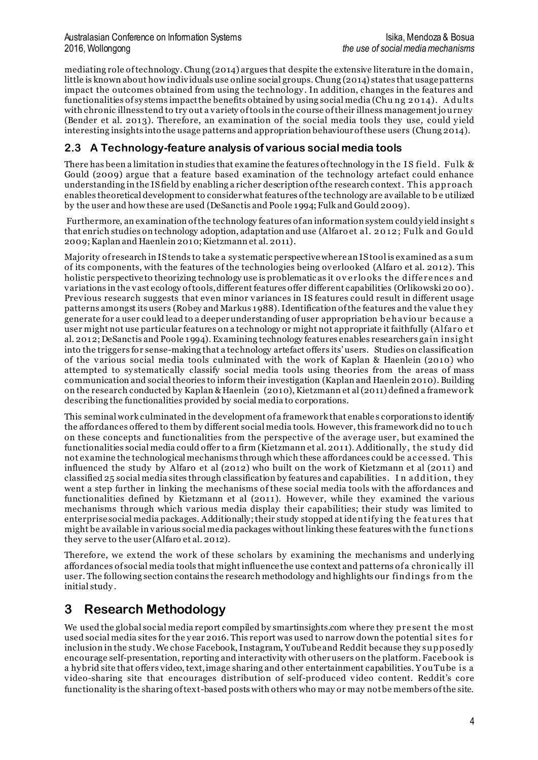mediating role of technology. Chung (2014) argues that despite the extensive literature in the domain, little is known about how individuals use online social groups. Chung (2014) states that usage patterns impact the outcomes obtained from using the technology . In addition, changes in the features and functionalities of sy stems impact the benefits obtained by using social media (Chu ng 2 0 14). A dults with chronic illness tend to try out a variety of tools in the course of their illness management jo urney (Bender et al. 2013). Therefore, an examination of the social media tools they use, could yield interesting insights into the usage patterns and appropriation behaviour of these users (Chung 2014).

### **2.3 A Technology-feature analysis of various social media tools**

There has been a limitation in studies that examine the features of technology in the IS field. Fulk  $\&$ Gould (2009) argue that a feature based examination of the technology artefact could enhance understanding in the IS field by enabling a richer description of the research context. This approach enables theoretical development to consider what features of the technology are available to b e utilized by the user and how these are used (DeSanctis and Poole 1994; Fulk and Gould 2009).

Furthermore, an examination of the technology features of an information system could y ield insight s that enrich studies on technology adoption, adaptation and use (Alfaro et al. 2 0 12 ; Fulk and Go uld 2009; Kaplan and Haenlein 2010; Kietzmann et al. 2011).

Majority of research in IS tends to take a sy stematic perspective where an IS tool is examined as a sum of its components, with the features of the technologies being overlooked (Alfaro et al. 2012). This holistic perspective to theorizing technology use is problematic as it overlooks the differences and variations in the vast ecology of tools, different features offer different capabilities (Orlikowski 20 00). Previous research suggests that even minor variances in IS features could result in different usage patterns amongst its users (Robey and Markus 1988). Identification of the features and the value the y generate for a user could lead to a deeper understanding of user appropriation b e havio ur b e cause a user might not use particular features on a technology or might not appropriate it faithfully (Alfaro et al. 2012; DeSanctis and Poole 1994). Examining technology features enables researchers gain insight into the triggers for sense-making that a technology artefact offers its' users. Studies on classification of the various social media tools culminated with the work of Kaplan & Haenlein (2010) who attempted to sy stematically classify social media tools using theories from the areas of mass communication and social theories to inform their investigation (Kaplan and Haenlein 2010). Building on the research conducted by Kaplan & Haenlein (2010), Kietzmann et al (2011) defined a framewor k describing the functionalities provided by social media to corporations.

This seminal work culminated in the development of a framework that enable s corporations to identify the affordances offered to them by different social media tools. However, this framework did no to uc h on these concepts and functionalities from the perspective of the average user, but examined the functionalities social media could offer to a firm (Kietzmann et al. 2011). Additionally , the study did not examine the technological mechanisms through which these affordances could be ac ce sse d. This influenced the study by Alfaro et al (2012) who built on the work of Kietzmann et al (2011) and classified 25 social media sites through classification by features and capabilities. I n addition, they went a step further in linking the mechanisms of these social media tools with the affordances and functionalities defined by Kietzmann et al (2011). However, while they examined the various mechanisms through which various media display their capabilities; their study was limited to enterprise social media packages. Additionally; their study stopped at ide ntify ing the fe atur es that might be available in various social media packages without linking these features with the func tions they serve to the user (Alfaro et al. 2012).

Therefore, we extend the work of these scholars by examining the mechanisms and underly ing affordances of social media tools that might influence the use context and patterns of a chronically ill user. The following section contains the research methodology and highlights our findings from the initial study .

### **3 Research Methodology**

We used the global social media report compiled by smartinsights.com where they present the most used social media sites for the y ear 2016. This report was used to narrow down the potential site s fo r inclusion in the study . We chose Facebook, Instagram, Y ouTube and Reddit because they supposedly encourage self-presentation, reporting and interactivity with other users on the platform. Faceb ook is a hy brid site that offers video, text, image sharing and other entertainment capabilities. Y ouTube is a video-sharing site that encourages distribution of self-produced video content. Reddit's core functionality is the sharing of text-based posts with others who may or may not be members of the site.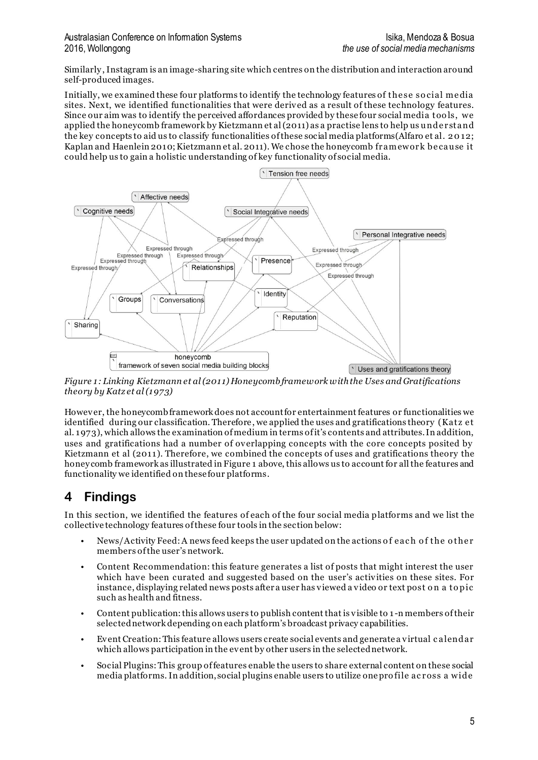Similarly ,Instagram is an image-sharing site which centres on the distribution and interaction around self-produced images.

Initially, we examined these four platforms to identify the technology features of the se so cial me dia sites. Next, we identified functionalities that were derived as a result of these technology features. Since our aim was to identify the perceived affordances provided by these four social media too ls, we applied the honeycomb framework by Kietzmann et al  $(2011)$  as a practise lens to help us under stand the key concepts to aid us to classify functionalities of these social media platforms(Alfaro et al. 2 0 12; Kaplan and Haenlein 2010; Kietzmann et al. 2011). We chose the honeycomb fr amewor k b e cause it could help us to gain a holistic understanding of key functionality of social media.



*Figure 1: Linking Kietzmann et al (2011) Honeycomb framework with the Uses and Gratifications theory by Katz et al (1973)*

However, the honeycomb framework does not account for entertainment features or functionalities we identified during our classification. Therefore, we applied the uses and gratifications theory (Katz e t al. 1973), which allows the examination of medium in terms of it's contents and attributes. In addition, uses and gratifications had a number of overlapping concepts with the core concepts posited by Kietzmann et al (2011). Therefore, we combined the concepts of uses and gratifications theory the honey comb framework as illustrated in Figure 1 above, this allows us to account for all the features and functionality we identified on these four platforms.

### **4 Findings**

In this section, we identified the features of each of the four social media platforms and we list the collective technology features of these four tools in the section below:

- News/Activity Feed: A news feed keeps the user updated on the actions of each of the other members of the user's network.
- Content Recommendation: this feature generates a list of posts that might interest the user which have been curated and suggested based on the user's activities on these sites. For instance, displaying related news posts after a user has viewed a video or text post o n a to pic such as health and fitness.
- Content publication: this allows users to publish content that is visible to 1 -n members of their selected network depending on each platform's broadcast privacy capabilities.
- Event Creation: This feature allows users create social events and generate a virtual c alendar which allows participation in the event by other users in the selected network.
- Social Plugins: This group of features enable the users to share external content on these social media platforms. In addition, social plugins enable users to utilize one profile across a wide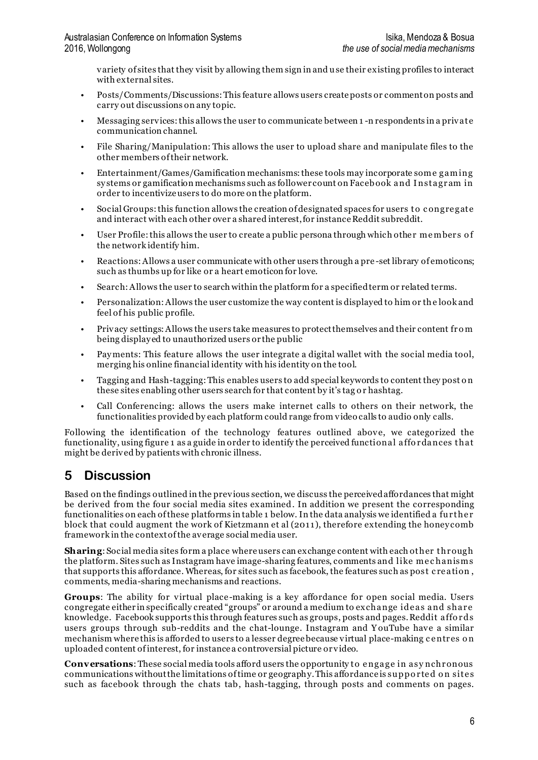variety of sites that they visit by allowing them sign in and use their existing profiles to interact with external sites.

- Posts/Comments/Discussions: This feature allows users create posts or comment on posts and carry out discussions on any topic.
- Messaging services: this allows the user to communicate between 1 -n respondents in a private communication channel.
- File Sharing/Manipulation: This allows the user to upload share and manipulate files to the other members of their network.
- Entertainment/Games/Gamification mechanisms: these tools may incorporate some gaming sy stems or gamification mechanisms such as follower count on Facebook and Instagram in order to incentivize users to do more on the platform.
- Social Groups: this function allows the creation of designated spaces for users to congregate and interact with each other over a shared interest, for instance Reddit subreddit.
- User Profile: this allows the user to create a public persona through which other members of the network identify him.
- Reactions: Allows a user communicate with other users through a pre -set library of emoticons; such as thumbs up for like or a heart emoticon for love.
- Search: Allows the user to search within the platform for a specified term or related terms.
- Personalization: Allows the user customize the way content is displayed to him or the look and feel of his public profile.
- Privacy settings: Allows the users take measures to protect themselves and their content from being display ed to unauthorized users or the public
- Pay ments: This feature allows the user integrate a digital wallet with the social media tool, merging his online financial identity with his identity on the tool.
- Tagging and Hash-tagging: This enables users to add special keywords to content they post on these sites enabling other users search for that content by it's tag o r hashtag.
- Call Conferencing: allows the users make internet calls to others on their network, the functionalities provided by each platform could range from video calls to audio only calls.

Following the identification of the technology features outlined above, we categorized the functionality, using figure 1 as a guide in order to identify the perceived functional affo r dances that might be derived by patients with chronic illness.

### **5 Discussion**

Based on the findings outlined in the previous section, we discuss the perceived affordances that might be derived from the four social media sites examined. In addition we present the corresponding functionalities on each of these platforms in table 1 below. In the data analysis we identified a further block that could augment the work of Kietzmann et al (2011), therefore extending the honey comb framework in the context of the average social media user.

**Sharing**: Social media sites form a place where users can exchange content with each other through the platform. Sites such as Instagram have image-sharing features, comments and like me c hanisms that supports this affordance. Whereas, for sites such as facebook, the features such as post c re ation , comments, media-sharing mechanisms and reactions.

**Groups**: The ability for virtual place-making is a key affordance for open social media. Users congregate either in specifically created "groups" or around a medium to exchange ideas and share knowledge. Facebook supports this through features such as groups, posts and pages. Reddit affords users groups through sub-reddits and the chat-lounge. Instagram and Y ouTube have a similar mechanism where this is afforded to users to a lesser degree because virtual place-making c entres on uploaded content of interest, for instance a controversial picture or video.

**Conversations**: These social media tools afford users the opportunity to engage in asy nchronous communications without the limitations of time or geography. This affordance is supported on sites such as facebook through the chats tab, hash-tagging, through posts and comments on pages.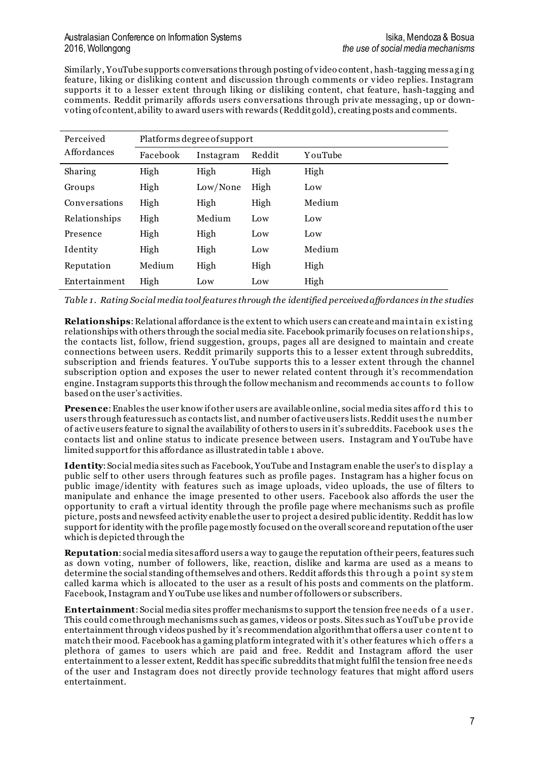#### Australasian Conference on Information Systems Isika, Mendoza & Bosua 2016, Wollongong *the use of social media mechanisms*

Similarly , YouTube supports conversations through posting of video content, hash-tagging messaging feature, liking or disliking content and discussion through comments or video replies. Instagram supports it to a lesser extent through liking or disliking content, chat feature, hash-tagging and comments. Reddit primarily affords users conversations through private messaging , up or downvoting of content, ability to award users with rewards (Redditgold), creating posts and comments.

| Perceived<br>Affordances | Platforms degree of support |           |        |         |
|--------------------------|-----------------------------|-----------|--------|---------|
|                          | Facebook                    | Instagram | Reddit | YouTube |
| Sharing                  | High                        | High      | High   | High    |
| Groups                   | High                        | Low/None  | High   | Low     |
| Conversations            | High                        | High      | High   | Medium  |
| Relationships            | High                        | Medium    | Low    | Low     |
| Presence                 | High                        | High      | Low    | Low     |
| Identity                 | High                        | High      | Low    | Medium  |
| Reputation               | Medium                      | High      | High   | High    |
| Entertainment            | High                        | Low       | Low    | High    |

*Table 1. Rating Social media tool features through the identified perceivedaffordances in the studies* 

**Relationships**: Relational affordance is the extent to which users can create and maintain e x isting relationships with others through the social media site. Facebook primarily focuses on relationships, the contacts list, follow, friend suggestion, groups, pages all are designed to maintain and create connections between users. Reddit primarily supports this to a lesser extent through subreddits, subscription and friends features. Y ouTube supports this to a lesser extent through the channel subscription option and exposes the user to newer related content through it's recommendation engine. Instagram supports this through the follow mechanism and recommends ac counts to fo llow based on the user's activities.

Presence: Enables the user know if other users are available online, social media sites afford this to users through features such as contacts list, and number of active users lists. Reddit uses the numb er of active users feature to signal the availability of others to users in it's subreddits. Facebook use s the contacts list and online status to indicate presence between users. Instagram and Y ouTube have limited support for this affordance as illustrated in table 1 above.

**Identity**: Social media sites such as Facebook, YouTube and Instagram enable the user's to display a public self to other users through features such as profile pages. Instagram has a higher focus on public image/identity with features such as image uploads, video uploads, the use of filters to manipulate and enhance the image presented to other users. Facebook also affords the user the opportunity to craft a virtual identity through the profile page where mechanisms such as profile picture, posts and newsfeed activity enable the user to project a desired public identity. Reddit has lo w support for identity with the profile page mostly focused on the overall score and reputation of the user which is depicted through the

**Reputation**: social media sites afford users a way to gauge the reputation of their peers, features such as down voting, number of followers, like, reaction, dislike and karma are used as a means to determine the social standing of themselves and others. Reddit affords this through a point system called karma which is allocated to the user as a result of his posts and comments on the platform. Facebook, Instagram and Y ouTube use likes and number of followers or subscribers.

**Entertainment**: Social media sites proffer mechanisms to support the tension free needs of a user. This could come through mechanisms such as games, videos or posts. Sites such as YouTube provide entertainment through videos pushed by it's recommendation algorithm that offers a user c o nte nt to match their mood. Facebook has a gaming platform integrated with it's other features which offers a plethora of games to users which are paid and free. Reddit and Instagram afford the user entertainment to a lesser extent, Reddit has specific subreddits that might fulfil the tension free ne e ds of the user and Instagram does not directly provide technology features that might afford users entertainment.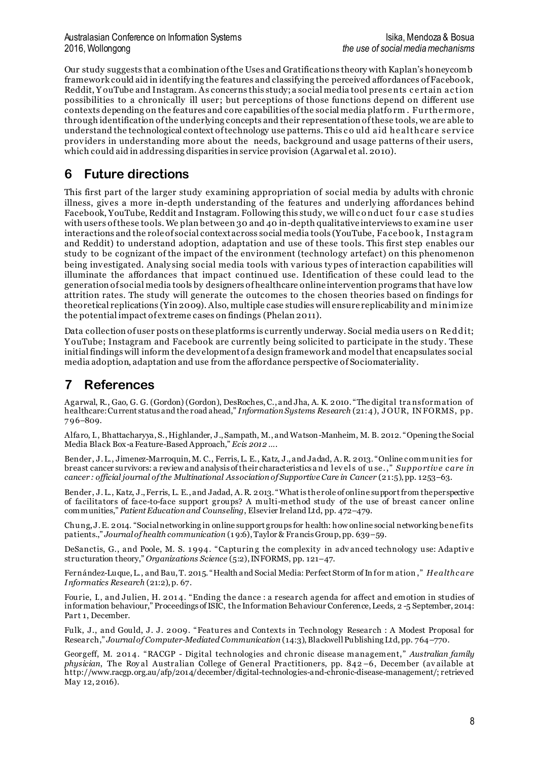#### Australasian Conference on Information Systems Isika, Mendoza & Bosua 2016, Wollongong *the use of social media mechanisms*

Our study suggests that a combination of the Uses and Gratifications theory with Kaplan's honeycomb framework could aid in identify ing the features and classifying the perceived affordances of Facebook, Reddit, Y ouTube and Instagram. As concerns this study; a social media tool prese nts c e rtain ac tion possibilities to a chronically ill user; but perceptions of those functions depend on different use contexts depending on the features and core capabilities of the social media platfo rm . Fur the rmore , through identification of the underlying concepts and their representation of these tools, we are able to understand the technological context of technology use patterns. This could aid healthcare service providers in understanding more about the needs, background and usage patterns of their users, which could aid in addressing disparities in service provision (Agarwal et al. 2010).

### **6 Future directions**

This first part of the larger study examining appropriation of social media by adults with chronic illness, gives a more in-depth understanding of the features and underly ing affordances behind Facebook, YouTube, Reddit and Instagram. Following this study, we will c o nduct fo ur c ase studies with users of these tools. We plan between 30 and 40 in-depth qualitative interviews to examine user interactions and the role of social context across social media tools (YouTube, Face boo k, I nstagram and Reddit) to understand adoption, adaptation and use of these tools. This first step enables our study to be cognizant of the impact of the environment (technology artefact) on this phenomenon being investigated. Analy sing social media tools with various ty pes of interaction capabilities will illuminate the affordances that impact continued use. Identification of these could lead to the generation of social media tools by designers of healthcare online intervention programs that have low attrition rates. The study will generate the outcomes to the chosen theories based on findings for theoretical replications (Yin 2009). Also, multiple case studies will ensure replicability and minimize the potential impact of extreme cases on findings (Phelan 2011).

Data collection of user posts on these platforms is currently underway. Social media users on Reddit; Y ouTube; Instagram and Facebook are currently being solicited to participate in the study . These initial findings will inform the development of a design framework and model that encapsulates social media adoption, adaptation and use from the affordance perspective of Sociomateriality.

## **7 References**

Agarwal, R., Gao, G. G. (Gordon) (Gordon), DesRoches, C., and Jha, A. K. 2010. "The digital tra nsformation of healthcare: Current status and the road ahead," *Information Systems Research* (21:4), J OUR, IN FORMS, pp. 7 96–809.

Alfaro, I., Bhattacharyya, S., Highlander, J., Sampath, M., and Watson-Manheim, M. B. 2012. "Opening the Social Media Black Box-a Feature-Based Approach," *Ecis 2012 …*.

Bender, J. L., Jimenez-Marroquin, M. C., Ferris, L. E., Katz, J., and Jadad, A. R. 2013. "Online communities for breast cancer survivors: a review and analysis of their characteristics a nd l ev el s of u se. ," *Suppo rtiv e c are in cancer : official journal of the Multinational Association of Supportive Care in Cancer* (21:5), pp. 1253–63.

Bender, J. L., Katz, J., Ferris, L. E., and Jadad, A. R. 2013. "What is the role of online support from the perspective of facilitators of face-to-face support groups? A multi-method study of the use of breast cancer online communities," *Patient Education and Counseling*, Elsevier Ireland Ltd, pp. 472–479.

Chung, J. E. 2014. "Social networking in online support groups for health: how online social networking benefi ts patients.," *Journal of health communication* (1 9:6), Taylor & Francis Group, pp. 639–59.

DeSanctis, G., and Poole, M. S. 1994. "Capturing the complexity in advanced technology use: Adaptive structuration theory," *Organizations Science* (5:2), INFORMS, pp. 121–47.

Fernández-Luque, L., and Bau, T. 2015. "Health and Social Media: Perfect Storm of In for m ation ," *Healthc are Informatics Research* (21:2), p. 67.

Fourie, I., and Julien, H. 2014. "Ending the dance : a research agenda for affect and emotion in studies of information behaviour," Proceedings of ISIC, the Information Behaviour Conference, Leeds, 2 -5 September, 2014: Part 1, December.

Fulk, J., and Gould, J. J. 2009. "Features and Contexts in Technology Research : A Modest Proposal for Research," *Journal of Computer-Mediated Communication* (14:3), Blackwell Publishing Ltd, pp. 764–770.

Georgeff, M. 2014. "RACGP - Digital technologies and chronic disease management," Australian family *physician*, The Roy al Australian College of General Practitioners, pp. 842 –6, December (av ailable at http://www.racgp.org.au/afp/2014/december/digital-technologies-and-chronic-disease-management/; retrieved May 12, 2016).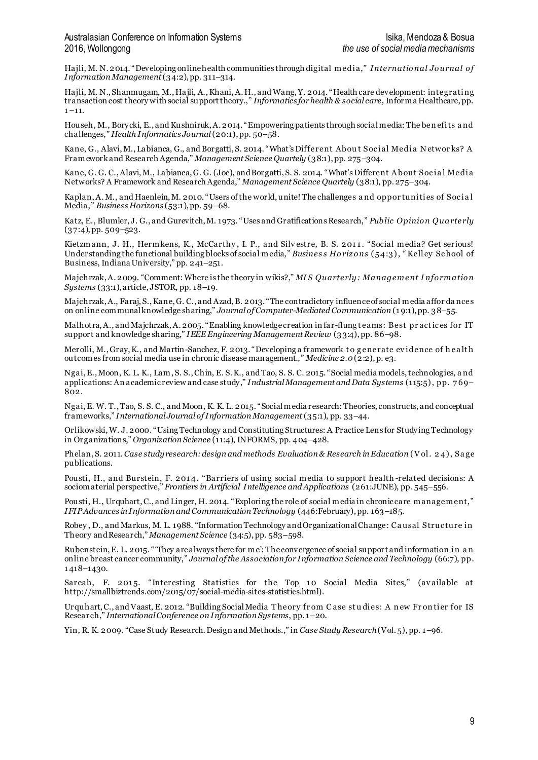Hajli, M. N. 2014. "Developing online health communities through digital medi a," *Internatio nal Jo urnal o f Information Management*(34:2), pp. 311–314.

Hajli, M. N., Shanmugam, M., Hajli, A., Khani, A. H., and Wang, Y. 2014. "Health care development: integrati ng transaction cost theory with social support theory.," *Informatics for health & social care*, Informa Healthcare, pp.  $1 - 11.$ 

Househ, M., Borycki, E., and Kushniruk, A. 2014. "Empowering patients through social media: The ben efi ts a nd challenges," *Health Informatics Journal*(20:1), pp. 50–58.

Kane, G., Alavi, M., Labianca, G., and Borgatti, S. 2014. "What's Different About Social Media Networks? A Framework and Research Agenda," *Management Science Quartely* (38:1), pp. 275–304.

Kane, G. G. C., Alavi, M., Labianca, G. G. (Joe), and Borgatti, S. S. 2014. "What's Different About Social Media Networks? A Framework and Research Agenda," *Management Science Quartely* (38:1), pp. 275–304.

Kaplan, A. M., and Haenlein, M. 2010. "Users of the world, unite! The challenges and oppor tunities of Social Media," *Business Horizons* (53:1), pp. 59–68.

Katz, E., Blumler, J. G., and Gurevitch, M. 1973. "Uses and Gratifications Research," *Public Opinio n Quarterly*  $(37:4)$ , pp.  $509 - 523$ .

Kietzmann, J. H., Hermkens, K., McCarthy, I. P., and Silvestre, B. S. 2011. "Social media? Get serious! Understanding the functional building blocks of social media," *Busines s Horizons* (54:3), "Kelley School of Business, Indiana University," pp. 241–251.

Majchrzak, A. 2009. "Comment: Where is the theory in wikis?," *MI S Quarterly: Management I nfo rmatio n Systems* (33:1), article, JSTOR, pp. 18–19.

Majchrzak, A., Faraj, S., Kane, G. C., and Azad, B. 2013. "The contradictory influence of social media affor da nces on online communal knowledge sharing," *Journal of Computer-Mediated Communication* (1 9:1), pp. 38–55.

Malhotra, A., and Majchrzak, A. 2005. "Enabling knowledge creation in far-flung teams: Best practices for IT support and knowledge sharing," *IEEE Engineering Management Review* (33:4), pp. 86–98.

Merolli, M., Gray, K., and Martin-Sanchez, F. 2013. "Developing a framework to generate evidence of health outcomes from social media use in chronic disease management.," *Medicine 2.0*(2:2), p. e3.

Ngai, E., Moon, K. L. K., Lam, S. S., Chin, E. S. K., and Tao, S. S. C. 2015. "Social media models, technologies, a nd applications: An academic review and case study," *Industrial Management and Data Systems* (115:5) , pp. 7 69– 802.

Ngai, E. W. T., Tao, S. S. C., and Moon, K. K. L. 2015. "Social media research: Theories, constructs, and conceptual frameworks," *International Journal of Information Management* (35:1), pp. 33–44.

Orlikowski, W. J. 2000. "Using Technology and Constituting Structures: A Practice Lens for Studying Technology in Organizations," *Organization Science* (11:4), INFORMS, pp. 404–428.

Phelan, S. 2011. *Case study research: design and methods Evaluation & Research in Education* ( V ol . 2 4) , Sa ge publications.

Pousti, H., and Burstein, F. 2014. "Barriers of using social media to support health-related decisions: A sociomaterial perspective," *Frontiers in Artificial Intelligence and Applications* (261:JUNE), pp. 545–556.

Pousti, H., Urquhart, C., and Linger, H. 2014. "Exploring the role of social media in chronic care management," *IFIP Advances in Information and Communication Technology* (446:February), pp. 163–185.

Robey , D., and Markus, M. L. 1988. "Information Technology and Organizational Change: Ca usal Struc ture i n Theory and Research," *Management Science* (34:5), pp. 583–598.

Rubenstein, E. L. 2015. "They are always there for me': The convergence of social support and information in an online breast cancer community," *Journal of the Association for Information Science and Technology* (66:7), pp. 1 418–1430.

Sareah, F. 2015. "Interesting Statistics for the Top 10 Social Media Sites," (available at http://smallbiztrends.com/2015/07/social-media-sites-statistics.html).

Urquhart, C., and Vaast, E. 2012. "Building Social Media Theory from Case studies: A new Frontier for IS Research," *International Conference on Information Systems*, pp. 1–20.

Yin, R. K. 2009. "Case Study Research. Design and Methods.," in *Case Study Research*(Vol. 5), pp. 1–96.